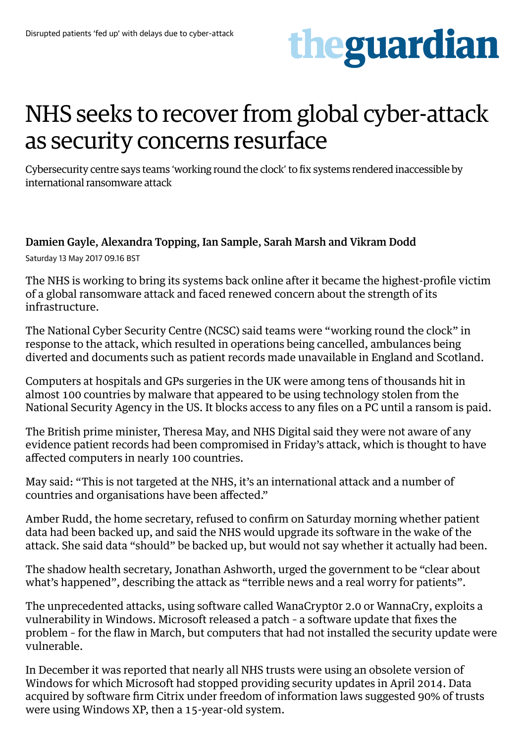

## NHS seeks to recover from global cyber-attack as security concerns resurface

Cybersecurity centre says teams 'working round the clock' to fix systems rendered inaccessible by international ransomware attack

## [Damien Gayle,](https://www.theguardian.com/profile/damien-gayle) [Alexandra Topping,](https://www.theguardian.com/profile/alexandratopping) [Ian Sample](https://www.theguardian.com/profile/iansample), [Sarah Marsh](https://www.theguardian.com/profile/sarah-marsh) and [Vikram Dodd](https://www.theguardian.com/profile/vikramdodd)

Saturday 13 May 2017 09.16 BST

The [NHS](https://www.theguardian.com/society/nhs) is working to bring its systems back online after it became the highest-profile victim of a global ransomware attack and faced renewed concern about the strength of its infrastructure.

The National Cyber Security Centre (NCSC) said teams were "working round the clock" in response to the attack, which resulted in operations being cancelled, ambulances being diverted and documents such as patient records made unavailable in England and Scotland.

Computers at hospitals and GPs surgeries in the UK were among tens of thousands hit in almost 100 countries by malware that appeared to be using technology stolen from the National Security Agency in the US. It blocks access to any files on a PC until a ransom is paid.

The British prime minister, Theresa May, and NHS Digital said they were not aware of any evidence patient records had been compromised in Friday's attack, which is thought to have [affected computers in nearly 100 countries](https://www.theguardian.com/technology/2017/may/12/global-cyber-attack-ransomware-nsa-uk-nhs).

May said: "This is not targeted at the NHS, it's an international attack and a number of countries and organisations have been affected."

Amber Rudd, the home secretary, refused to confirm on Saturday morning whether patient data had been backed up, and said the NHS would upgrade its software in the wake of the attack. She said data "should" be backed up, but would not say whether it actually had been.

The shadow health secretary, Jonathan Ashworth, urged the government to be "clear about what's happened", describing the attack as "terrible news and a real worry for patients".

The unprecedented attacks, using software called [WanaCrypt0r 2.0 or WannaCry](https://www.theguardian.com/technology/2017/may/12/nhs-ransomware-cyber-attack-what-is-wanacrypt0r-20), exploits a vulnerability in Windows. Microsoft released a patch – a software update that fixes the problem – for the flaw in March, but computers that had not installed the security update were vulnerable.

In December it was reported that nearly all NHS trusts were using an obsolete version of Windows for which Microsoft had stopped providing security updates in April 2014. Data acquired by software firm Citrix under freedom of information laws suggested 90% of trusts were using Windows XP, then a 15-year-old system.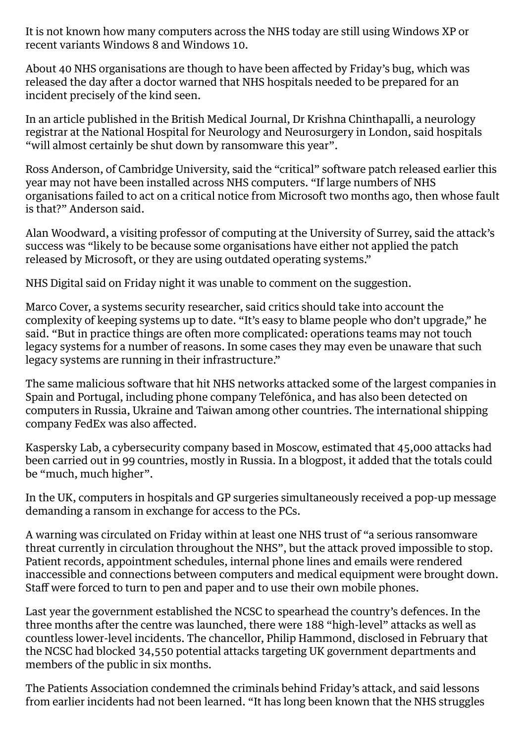It is not known how many computers across the NHS today are still using Windows XP or recent variants Windows 8 and Windows 10.

About 40 NHS organisations are though to have been affected by Friday's bug, which was released the day after a doctor warned that NHS hospitals needed to be prepared for an incident precisely of the kind seen.

In an article published in the British Medical Journal, Dr Krishna Chinthapalli, a neurology registrar at the National Hospital for Neurology and Neurosurgery in London, said hospitals "will almost certainly be shut down by ransomware this year".

Ross Anderson, of Cambridge University, said the "critical" software patch released earlier this year may not have been installed across NHS computers. "If large numbers of NHS organisations failed to act on a critical notice from Microsoft two months ago, then whose fault is that?" Anderson said.

Alan Woodward, a visiting professor of computing at the University of Surrey, said the attack's success was "likely to be because some organisations have either not applied the patch released by Microsoft, or they are using outdated operating systems."

NHS Digital said on Friday night it was unable to comment on the suggestion.

Marco Cover, a systems security researcher, said critics should take into account the complexity of keeping systems up to date. "It's easy to blame people who don't upgrade," he said. "But in practice things are often more complicated: operations teams may not touch legacy systems for a number of reasons. In some cases they may even be unaware that such legacy systems are running in their infrastructure."

The same malicious software that hit NHS networks attacked some of the largest companies in Spain and Portugal, including phone company Telefónica, and has also been detected on computers in Russia, Ukraine and Taiwan among other countries. The international shipping company FedEx was also affected.

Kaspersky Lab, a cybersecurity company based in Moscow, estimated that 45,000 attacks had been carried out in 99 countries, mostly in Russia. In a blogpost, [it added](https://securelist.com/blog/incidents/78351/wannacry-ransomware-used-in-widespread-attacks-all-over-the-world/) that the totals could be "much, much higher".

In the UK, computers in hospitals and GP surgeries simultaneously received a pop-up message demanding a ransom in exchange for access to the PCs.

A warning was circulated on Friday within at least one NHS trust of "a serious ransomware threat currently in circulation throughout the NHS", but the attack proved impossible to stop. Patient records, appointment schedules, internal phone lines and emails were rendered inaccessible and connections between computers and medical equipment were brought down. Staff were forced to turn to pen and paper and to use their own mobile phones.

Last year the government established the NCSC to spearhead the country's defences. In the three months after the centre was launched, there were 188 "high-level" attacks as well as countless lower-level incidents. The chancellor, Philip Hammond, disclosed in February that the NCSC had blocked 34,550 potential attacks targeting UK government departments and members of the public in six months.

The Patients Association condemned the criminals behind Friday's attack, and said lessons from earlier incidents had not been learned. "It has long been known that the NHS struggles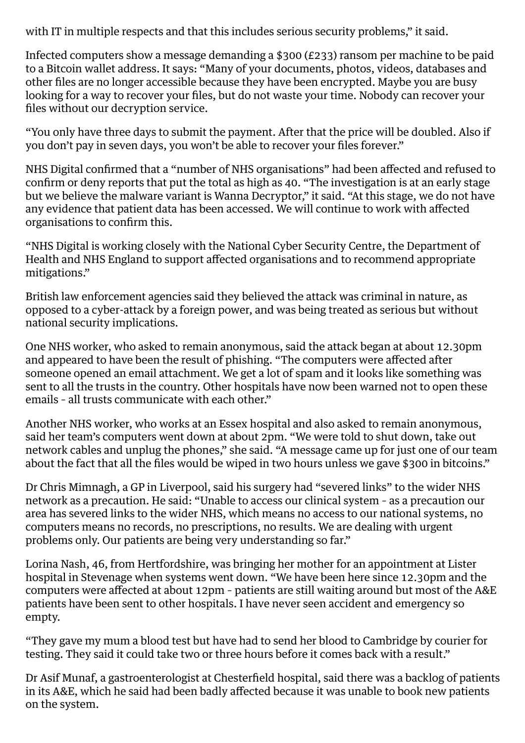with IT in multiple respects and that this includes serious security problems," it said.

Infected computers show a message demanding a \$300 (£233) ransom per machine to be paid to a Bitcoin wallet address. It says: "Many of your documents, photos, videos, databases and other files are no longer accessible because they have been encrypted. Maybe you are busy looking for a way to recover your files, but do not waste your time. Nobody can recover your files without our decryption service.

"You only have three days to submit the payment. After that the price will be doubled. Also if you don't pay in seven days, you won't be able to recover your files forever."

NHS Digital confirmed that a "number of NHS organisations" had been affected and refused to confirm or deny reports that put the total as high as 40. "The investigation is at an early stage but we believe the malware variant is Wanna Decryptor," it said. "At this stage, we do not have any evidence that patient data has been accessed. We will continue to work with affected organisations to confirm this.

"NHS Digital is working closely with the National Cyber Security Centre, the Department of [Health](https://www.theguardian.com/society/health) and NHS England to support affected organisations and to recommend appropriate mitigations."

British law enforcement agencies said they believed the attack was criminal in nature, as opposed to a cyber-attack by a foreign power, and was being treated as serious but without national security implications.

One NHS worker, who asked to remain anonymous, said the attack began at about 12.30pm and appeared to have been the result of phishing. "The computers were affected after someone opened an email attachment. We get a lot of spam and it looks like something was sent to all the trusts in the country. Other hospitals have now been warned not to open these emails – all trusts communicate with each other."

Another NHS worker, who works at an Essex hospital and also asked to remain anonymous, said her team's computers went down at about 2pm. "We were told to shut down, take out network cables and unplug the phones," she said. "A message came up for just one of our team about the fact that all the files would be wiped in two hours unless we gave \$300 in bitcoins."

Dr Chris Mimnagh, a GP in Liverpool, said his surgery had "severed links" to the wider NHS network as a precaution. He said: "Unable to access our clinical system – as a precaution our area has severed links to the wider NHS, which means no access to our national systems, no computers means no records, no prescriptions, no results. We are dealing with urgent problems only. Our patients are being very understanding so far."

Lorina Nash, 46, from Hertfordshire, was bringing her mother for an appointment at Lister hospital in Stevenage when systems went down. "We have been here since 12.30pm and the computers were affected at about 12pm – patients are still waiting around but most of the A&E patients have been sent to other hospitals. I have never seen accident and emergency so empty.

"They gave my mum a blood test but have had to send her blood to Cambridge by courier for testing. They said it could take two or three hours before it comes back with a result."

Dr Asif Munaf, a gastroenterologist at Chesterfield hospital, said there was a backlog of patients in its A&E, which he said had been badly affected because it was unable to book new patients on the system.